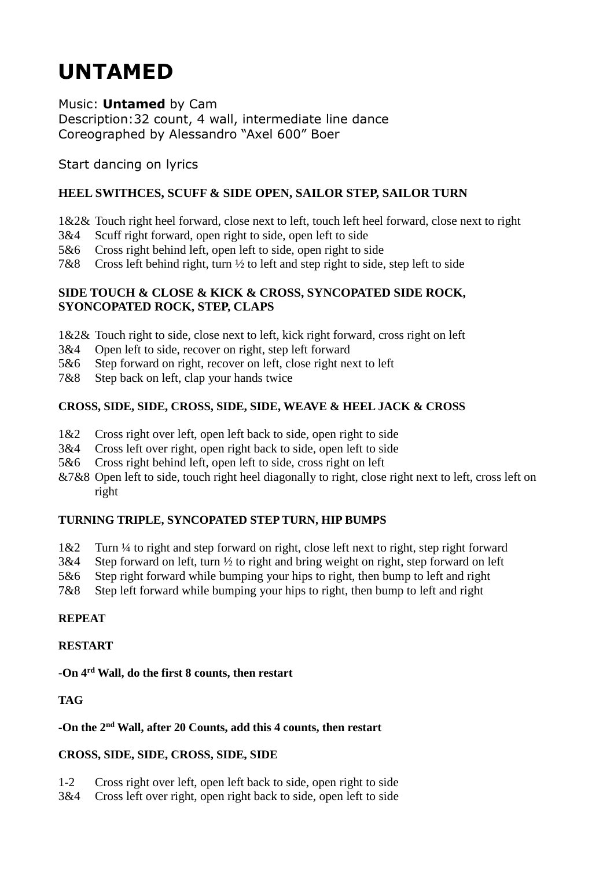# **UNTAMED**

Music: **Untamed** by Cam Description:32 count, 4 wall, intermediate line dance Coreographed by Alessandro "Axel 600" Boer

Start dancing on lyrics

## **HEEL SWITHCES, SCUFF & SIDE OPEN, SAILOR STEP, SAILOR TURN**

- 1&2& Touch right heel forward, close next to left, touch left heel forward, close next to right
- 3&4 Scuff right forward, open right to side, open left to side
- 5&6 Cross right behind left, open left to side, open right to side
- 7&8 Cross left behind right, turn ½ to left and step right to side, step left to side

#### **SIDE TOUCH & CLOSE & KICK & CROSS, SYNCOPATED SIDE ROCK, SYONCOPATED ROCK, STEP, CLAPS**

- 1&2& Touch right to side, close next to left, kick right forward, cross right on left
- 3&4 Open left to side, recover on right, step left forward
- 5&6 Step forward on right, recover on left, close right next to left
- 7&8 Step back on left, clap your hands twice

## **CROSS, SIDE, SIDE, CROSS, SIDE, SIDE, WEAVE & HEEL JACK & CROSS**

- 1&2 Cross right over left, open left back to side, open right to side
- 3&4 Cross left over right, open right back to side, open left to side
- 5&6 Cross right behind left, open left to side, cross right on left
- &7&8 Open left to side, touch right heel diagonally to right, close right next to left, cross left on right

## **TURNING TRIPLE, SYNCOPATED STEP TURN, HIP BUMPS**

- 1&2 Turn ¼ to right and step forward on right, close left next to right, step right forward
- 3&4 Step forward on left, turn ½ to right and bring weight on right, step forward on left
- 5&6 Step right forward while bumping your hips to right, then bump to left and right
- 7&8 Step left forward while bumping your hips to right, then bump to left and right

## **REPEAT**

#### **RESTART**

#### **-On 4rd Wall, do the first 8 counts, then restart**

## **TAG**

#### **-On the 2nd Wall, after 20 Counts, add this 4 counts, then restart**

## **CROSS, SIDE, SIDE, CROSS, SIDE, SIDE**

1-2 Cross right over left, open left back to side, open right to side

3&4 Cross left over right, open right back to side, open left to side